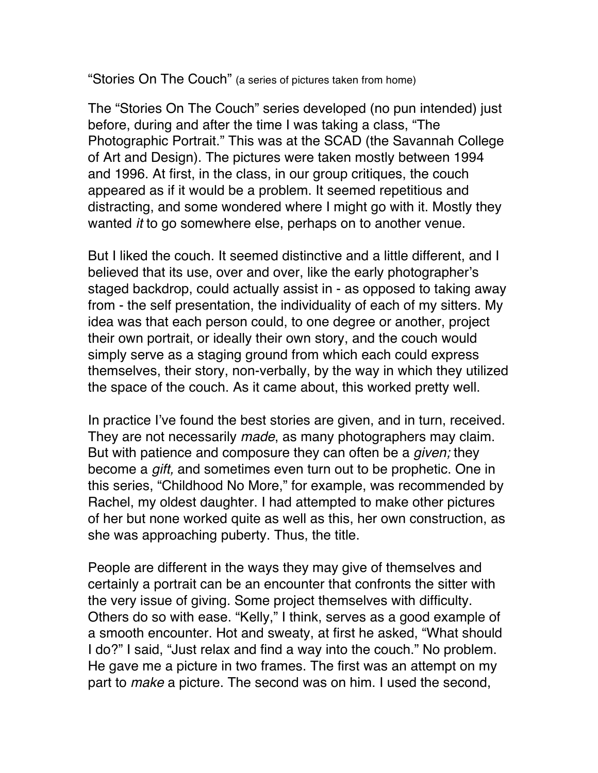"Stories On The Couch" (a series of pictures taken from home)

The "Stories On The Couch" series developed (no pun intended) just before, during and after the time I was taking a class, "The Photographic Portrait." This was at the SCAD (the Savannah College of Art and Design). The pictures were taken mostly between 1994 and 1996. At first, in the class, in our group critiques, the couch appeared as if it would be a problem. It seemed repetitious and distracting, and some wondered where I might go with it. Mostly they wanted *it* to go somewhere else, perhaps on to another venue.

But I liked the couch. It seemed distinctive and a little different, and I believed that its use, over and over, like the early photographer's staged backdrop, could actually assist in - as opposed to taking away from - the self presentation, the individuality of each of my sitters. My idea was that each person could, to one degree or another, project their own portrait, or ideally their own story, and the couch would simply serve as a staging ground from which each could express themselves, their story, non-verbally, by the way in which they utilized the space of the couch. As it came about, this worked pretty well.

In practice I've found the best stories are given, and in turn, received. They are not necessarily *made*, as many photographers may claim. But with patience and composure they can often be a *given;* they become a *gift,* and sometimes even turn out to be prophetic. One in this series, "Childhood No More," for example, was recommended by Rachel, my oldest daughter. I had attempted to make other pictures of her but none worked quite as well as this, her own construction, as she was approaching puberty. Thus, the title.

People are different in the ways they may give of themselves and certainly a portrait can be an encounter that confronts the sitter with the very issue of giving. Some project themselves with difficulty. Others do so with ease. "Kelly," I think, serves as a good example of a smooth encounter. Hot and sweaty, at first he asked, "What should I do?" I said, "Just relax and find a way into the couch." No problem. He gave me a picture in two frames. The first was an attempt on my part to *make* a picture. The second was on him. I used the second,